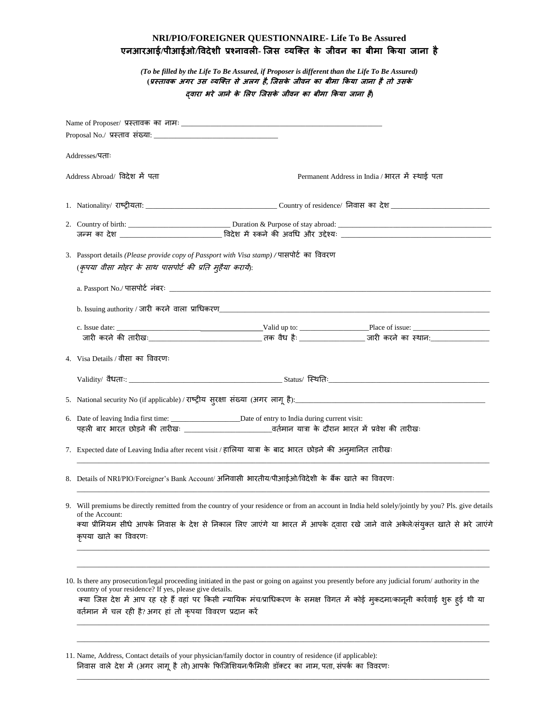## **NRI/PIO/FOREIGNER QUESTIONNAIRE- Life To Be Assured एनआरआई/पीआईओ/विदेशी प्रश्नािली- जिस व्यजति के िीिन का बीमा ककया िाना है**

*(To be filled by the Life To Be Assured, if Proposer is different than the Life To Be Assured)* **(प्रस्िािक अगर उस व्यजति से अलग है, जिसके िीिन का बीमा ककया िाना हैिो उसके द्िारा भरे िाने के ललए जिसके िीिन का बीमा ककया िाना है)**

|  | Addresses/पताः                                                                                                                                                                                                                                                                                                                   |  |                                                                                                                                                                                                                                                                                    |  |
|--|----------------------------------------------------------------------------------------------------------------------------------------------------------------------------------------------------------------------------------------------------------------------------------------------------------------------------------|--|------------------------------------------------------------------------------------------------------------------------------------------------------------------------------------------------------------------------------------------------------------------------------------|--|
|  | Address Abroad/ विदेश में पता                                                                                                                                                                                                                                                                                                    |  | Permanent Address in India / भारत में स्थाई पता                                                                                                                                                                                                                                    |  |
|  |                                                                                                                                                                                                                                                                                                                                  |  |                                                                                                                                                                                                                                                                                    |  |
|  |                                                                                                                                                                                                                                                                                                                                  |  |                                                                                                                                                                                                                                                                                    |  |
|  |                                                                                                                                                                                                                                                                                                                                  |  |                                                                                                                                                                                                                                                                                    |  |
|  | 3. Passport details (Please provide copy of Passport with Visa stamp) / पासपोर्ट का विवरण<br>(कृपया वीसा मोहर के साथ पासपोर्ट की प्रति मुहैया करायें):                                                                                                                                                                           |  |                                                                                                                                                                                                                                                                                    |  |
|  |                                                                                                                                                                                                                                                                                                                                  |  |                                                                                                                                                                                                                                                                                    |  |
|  |                                                                                                                                                                                                                                                                                                                                  |  |                                                                                                                                                                                                                                                                                    |  |
|  |                                                                                                                                                                                                                                                                                                                                  |  |                                                                                                                                                                                                                                                                                    |  |
|  |                                                                                                                                                                                                                                                                                                                                  |  |                                                                                                                                                                                                                                                                                    |  |
|  | 4. Visa Details / वीसा का विवरणः                                                                                                                                                                                                                                                                                                 |  |                                                                                                                                                                                                                                                                                    |  |
|  |                                                                                                                                                                                                                                                                                                                                  |  |                                                                                                                                                                                                                                                                                    |  |
|  |                                                                                                                                                                                                                                                                                                                                  |  |                                                                                                                                                                                                                                                                                    |  |
|  |                                                                                                                                                                                                                                                                                                                                  |  |                                                                                                                                                                                                                                                                                    |  |
|  |                                                                                                                                                                                                                                                                                                                                  |  |                                                                                                                                                                                                                                                                                    |  |
|  | 7. Expected date of Leaving India after recent visit / हालिया यात्रा के बाद भारत छोड़ने की अन्मानित तारीखः                                                                                                                                                                                                                       |  |                                                                                                                                                                                                                                                                                    |  |
|  | 8. Details of NRI/PIO/Foreigner's Bank Account/ अनिवासी भारतीय/पीआईओ/विदेशी के बैंक खाते का विवरणः                                                                                                                                                                                                                               |  |                                                                                                                                                                                                                                                                                    |  |
|  | 9. Will premiums be directly remitted from the country of your residence or from an account in India held solely/jointly by you? Pls. give details<br>of the Account:<br>क्या प्रीमियम सीधे आपके निवास के देश से निकाल लिए जाएंगे या भारत में आपके द्वारा रखे जाने वाले अकेले/संयुक्त खाते से भरे जाएंगे<br>कृपया खाते का विवरणः |  |                                                                                                                                                                                                                                                                                    |  |
|  | country of your residence? If yes, please give details.<br>वर्तमान में चल रही है? अगर हां तो कृपया विवरण प्रदान करें                                                                                                                                                                                                             |  | 10. Is there any prosecution/legal proceeding initiated in the past or going on against you presently before any judicial forum/ authority in the<br>क्या जिस देश में आप रह रहे हैं वहां पर किसी न्यायिक मंच/प्राधिकरण के समक्ष विगत में कोई मुकदमा/कानूनी कार्रवाई शुरू हुई थी या |  |
|  |                                                                                                                                                                                                                                                                                                                                  |  |                                                                                                                                                                                                                                                                                    |  |

11. Name, Address, Contact details of your physician/family doctor in country of residence (if applicable): निवास वाले देश में (अगर लागू है तो) आपके फिजिशियन/फैमिली डॉक्टर का नाम, पता, संपर्क का विवरणः

\_\_\_\_\_\_\_\_\_\_\_\_\_\_\_\_\_\_\_\_\_\_\_\_\_\_\_\_\_\_\_\_\_\_\_\_\_\_\_\_\_\_\_\_\_\_\_\_\_\_\_\_\_\_\_\_\_\_\_\_\_\_\_\_\_\_\_\_\_\_\_\_\_\_\_\_\_\_\_\_\_\_\_\_\_\_\_\_\_\_\_\_\_\_\_\_\_\_\_\_\_\_\_\_\_\_\_\_\_\_\_\_\_